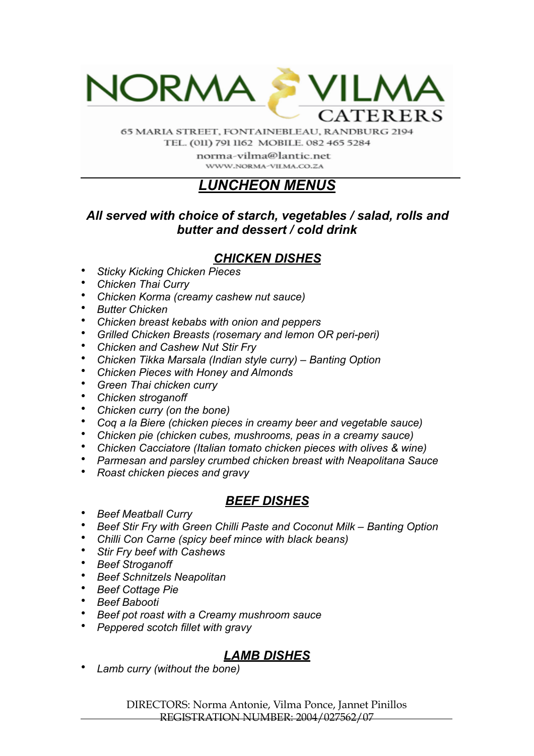

65 MARIA STREET, FONTAINEBLEAU, RANDBURG 2194 TEL. (011) 791 1162 MOBILE. 082 465 5284

> norma-vilma@lantic.net WWW.NORMA-VILMA.CO.ZA

# *LUNCHEON MENUS*

### *All served with choice of starch, vegetables / salad, rolls and butter and dessert / cold drink*

## *CHICKEN DISHES*

- *Sticky Kicking Chicken Pieces*
- *Chicken Thai Curry*
- *Chicken Korma (creamy cashew nut sauce)*
- *Butter Chicken*
- *Chicken breast kebabs with onion and peppers*
- *Grilled Chicken Breasts (rosemary and lemon OR peri-peri)*
- *Chicken and Cashew Nut Stir Fry*
- *Chicken Tikka Marsala (Indian style curry) Banting Option*
- *Chicken Pieces with Honey and Almonds*
- *Green Thai chicken curry*
- *Chicken stroganoff*
- *Chicken curry (on the bone)*
- *Coq a la Biere (chicken pieces in creamy beer and vegetable sauce)*
- *Chicken pie (chicken cubes, mushrooms, peas in a creamy sauce)*
- *Chicken Cacciatore (Italian tomato chicken pieces with olives & wine)*
- *Parmesan and parsley crumbed chicken breast with Neapolitana Sauce*
- *Roast chicken pieces and gravy*

## *BEEF DISHES*

- *Beef Meatball Curry*
- *Beef Stir Fry with Green Chilli Paste and Coconut Milk Banting Option*
- *Chilli Con Carne (spicy beef mince with black beans)*
- *Stir Fry beef with Cashews*
- *Beef Stroganoff*
- *Beef Schnitzels Neapolitan*
- *Beef Cottage Pie*
- *Beef Babooti*
- *Beef pot roast with a Creamy mushroom sauce*
- *Peppered scotch fillet with gravy*

# *LAMB DISHES*

• *Lamb curry (without the bone)*